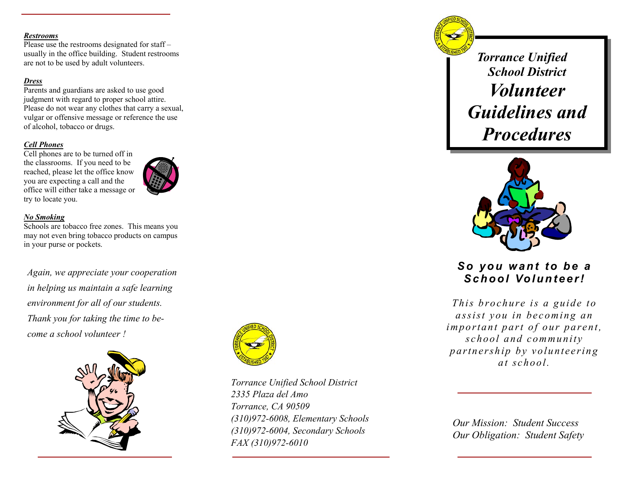#### *Restrooms*

Please use the restrooms designated for staff – usually in the office building. Student restrooms are not to be used by adult volunteers.

#### *Dress*

Parents and guardians are asked to use good judgment with regard to proper school attire. Please do not wear any clothes that carry a sexual, vulgar or offensive message or reference the use of alcohol, tobacco or drugs.

#### *Cell Phones*

Cell phones are to be turned off in the classrooms. If you need to be reached, please let the office know you are expecting a call and the office will either take a message or try to locate you.



#### *No Smoking*

Schools are tobacco free zones. This means you may not even bring tobacco products on campus in your purse or pockets.

*Again, we appreciate your cooperation in helping us maintain a safe learning environment for all of our students. Thank you for taking the time to become a school volunteer !* 





*Torrance Unified School District 2335 Plaza del Amo Torrance, CA 90509 (310)972-6008, Elementary Schools (310)972-6004, Secondary Schools FAX (310)972-6010* 

*Torrance Unified School District Volunteer Guidelines and Procedures* 



*So you want to be a School Volunteer!* 

*This brochure is a guide to assist you in becoming an important part of our parent, school and community partnership by volunteering at school.* 

*Our Mission: Student Success Our Obligation: Student Safety*